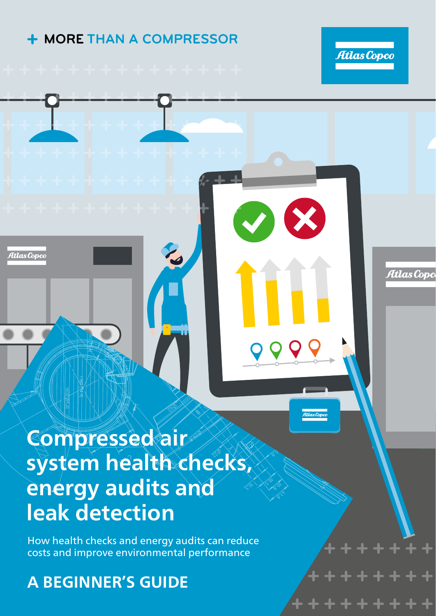### **MORE THAN A COMPRESSOR**



Atlas Copc

### **Compressed air system health checks, energy audits and leak detection**

How health checks and energy audits can reduce costs and improve environmental performance

### **A BEGINNER'S GUIDE**

Atlas Copce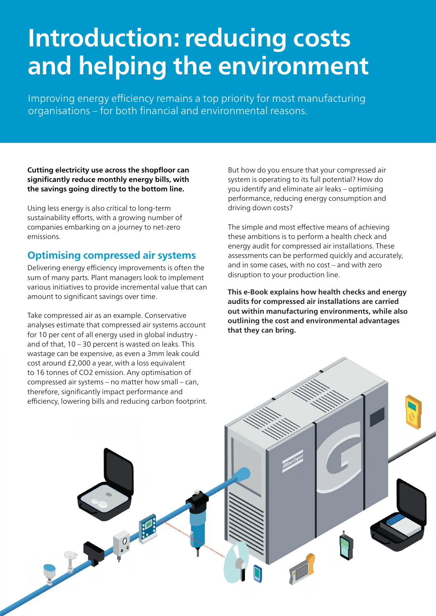# **Introduction: reducing costs and helping the environment**

Improving energy efficiency remains a top priority for most manufacturing organisations – for both financial and environmental reasons.

**Cutting electricity use across the shopfloor can significantly reduce monthly energy bills, with the savings going directly to the bottom line.**

Using less energy is also critical to long-term sustainability efforts, with a growing number of companies embarking on a journey to net-zero emissions.

#### **Optimising compressed air systems**

Delivering energy efficiency improvements is often the sum of many parts. Plant managers look to implement various initiatives to provide incremental value that can amount to significant savings over time.

Take compressed air as an example. Conservative analyses estimate that compressed air systems account for 10 per cent of all energy used in global industry and of that, 10 – 30 percent is wasted on leaks. This wastage can be expensive, as even a 3mm leak could cost around £2,000 a year, with a loss equivalent to 16 tonnes of CO2 emission. Any optimisation of compressed air systems – no matter how small – can, therefore, significantly impact performance and efficiency, lowering bills and reducing carbon footprint. But how do you ensure that your compressed air system is operating to its full potential? How do you identify and eliminate air leaks – optimising performance, reducing energy consumption and driving down costs?

The simple and most effective means of achieving these ambitions is to perform a health check and energy audit for compressed air installations. These assessments can be performed quickly and accurately, and in some cases, with no cost – and with zero disruption to your production line.

**This e-Book explains how health checks and energy audits for compressed air installations are carried out within manufacturing environments, while also outlining the cost and environmental advantages that they can bring.**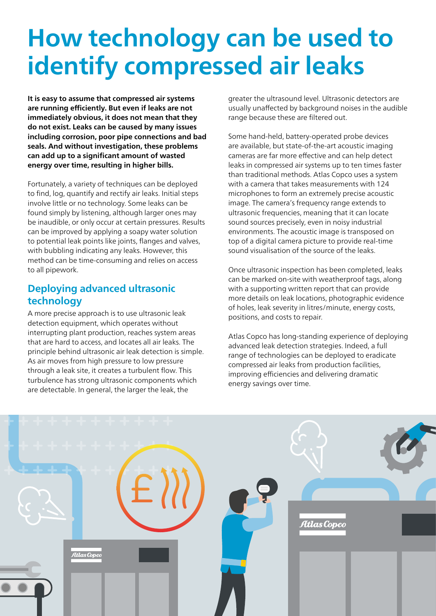# **How technology can be used to identify compressed air leaks**

**It is easy to assume that compressed air systems are running efficiently. But even if leaks are not immediately obvious, it does not mean that they do not exist. Leaks can be caused by many issues including corrosion, poor pipe connections and bad seals. And without investigation, these problems can add up to a significant amount of wasted energy over time, resulting in higher bills.**

Fortunately, a variety of techniques can be deployed to find, log, quantify and rectify air leaks. Initial steps involve little or no technology. Some leaks can be found simply by listening, although larger ones may be inaudible, or only occur at certain pressures. Results can be improved by applying a soapy water solution to potential leak points like joints, flanges and valves, with bubbling indicating any leaks. However, this method can be time-consuming and relies on access to all pipework.

#### **Deploying advanced ultrasonic technology**

A more precise approach is to use ultrasonic leak detection equipment, which operates without interrupting plant production, reaches system areas that are hard to access, and locates all air leaks. The principle behind ultrasonic air leak detection is simple. As air moves from high pressure to low pressure through a leak site, it creates a turbulent flow. This turbulence has strong ultrasonic components which are detectable. In general, the larger the leak, the

greater the ultrasound level. Ultrasonic detectors are usually unaffected by background noises in the audible range because these are filtered out.

Some hand-held, battery-operated probe devices are available, but state-of-the-art acoustic imaging cameras are far more effective and can help detect leaks in compressed air systems up to ten times faster than traditional methods. Atlas Copco uses a system with a camera that takes measurements with 124 microphones to form an extremely precise acoustic image. The camera's frequency range extends to ultrasonic frequencies, meaning that it can locate sound sources precisely, even in noisy industrial environments. The acoustic image is transposed on top of a digital camera picture to provide real-time sound visualisation of the source of the leaks.

Once ultrasonic inspection has been completed, leaks can be marked on-site with weatherproof tags, along with a supporting written report that can provide more details on leak locations, photographic evidence of holes, leak severity in litres/minute, energy costs, positions, and costs to repair.

Atlas Copco has long-standing experience of deploying advanced leak detection strategies. Indeed, a full range of technologies can be deployed to eradicate compressed air leaks from production facilities, improving efficiencies and delivering dramatic energy savings over time.

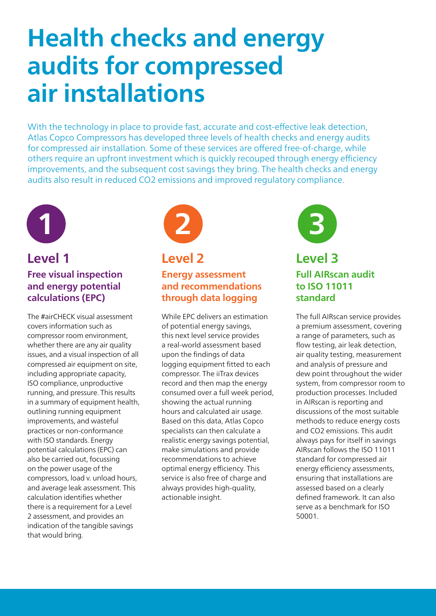# **Health checks and energy audits for compressed air installations**

With the technology in place to provide fast, accurate and cost-effective leak detection, Atlas Copco Compressors has developed three levels of health checks and energy audits for compressed air installation. Some of these services are offered free-of-charge, while others require an upfront investment which is quickly recouped through energy efficiency improvements, and the subsequent cost savings they bring. The health checks and energy audits also result in reduced CO2 emissions and improved regulatory compliance.



#### **Level 1 Level 2 Level 3 Free visual inspection and energy potential calculations (EPC)**

The #airCHECK visual assessment covers information such as compressor room environment, whether there are any air quality issues, and a visual inspection of all compressed air equipment on site, including appropriate capacity, ISO compliance, unproductive running, and pressure. This results in a summary of equipment health, outlining running equipment improvements, and wasteful practices or non-conformance with ISO standards. Energy potential calculations (EPC) can also be carried out, focussing on the power usage of the compressors, load v. unload hours, and average leak assessment. This calculation identifies whether there is a requirement for a Level 2 assessment, and provides an indication of the tangible savings that would bring.



**Energy assessment and recommendations through data logging** 

While EPC delivers an estimation of potential energy savings, this next level service provides a real-world assessment based upon the findings of data logging equipment fitted to each compressor. The iiTrax devices record and then map the energy consumed over a full week period, showing the actual running hours and calculated air usage. Based on this data, Atlas Copco specialists can then calculate a realistic energy savings potential, make simulations and provide recommendations to achieve optimal energy efficiency. This service is also free of charge and always provides high-quality, actionable insight.



### **Full AIRscan audit to ISO 11011 standard**

The full AIRscan service provides a premium assessment, covering a range of parameters, such as flow testing, air leak detection, air quality testing, measurement and analysis of pressure and dew point throughout the wider system, from compressor room to production processes. Included in AIRscan is reporting and discussions of the most suitable methods to reduce energy costs and CO2 emissions. This audit always pays for itself in savings AIRscan follows the ISO 11011 standard for compressed air energy efficiency assessments, ensuring that installations are assessed based on a clearly defined framework. It can also serve as a benchmark for ISO 50001.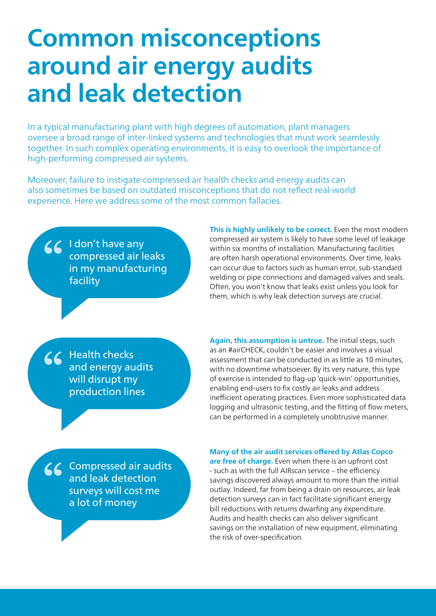## **Common misconceptions around air energy audits and leak detection**

In a typical manufacturing plant with high degrees of automation, plant managers oversee a broad range of inter-linked systems and technologies that must work seamlessly together. In such complex operating environments, it is easy to overlook the importance of high-performing compressed air systems.

Moreover, failure to instigate compressed air health checks and energy audits can also sometimes be based on outdated misconceptions that do not reflect real-world experience. Here we address some of the most common fallacies.

66 I don't have any compressed air leaks in my manufacturing facility

**This is highly unlikely to be correct.** Even the most modern compressed air system is likely to have some level of leakage within six months of installation. Manufacturing facilities are often harsh operational environments. Over time, leaks can occur due to factors such as human error, sub-standard welding or pipe connections and damaged valves and seals. Often, you won't know that leaks exist unless you look for them, which is why leak detection surveys are crucial.

66 Health checks and energy audits will disrupt my production lines

**Again, this assumption is untrue.** The initial steps, such as an #airCHECK, couldn't be easier and involves a visual assessment that can be conducted in as little as 10 minutes, with no downtime whatsoever. By its very nature, this type of exercise is intended to flag-up 'quick-win' opportunities, enabling end-users to fix costly air leaks and address inefficient operating practices. Even more sophisticated data logging and ultrasonic testing, and the fitting of flow meters, can be performed in a completely unobtrusive manner.

66 Compressed air audits and leak detection surveys will cost me a lot of money

**Many of the air audit services offered by Atlas Copco are free of charge.** Even when there is an upfront cost - such as with the full AIRscan service – the efficiency savings discovered always amount to more than the initial outlay. Indeed, far from being a drain on resources, air leak detection surveys can in fact facilitate significant energy bill reductions with returns dwarfing any expenditure. Audits and health checks can also deliver significant savings on the installation of new equipment, eliminating the risk of over-specification.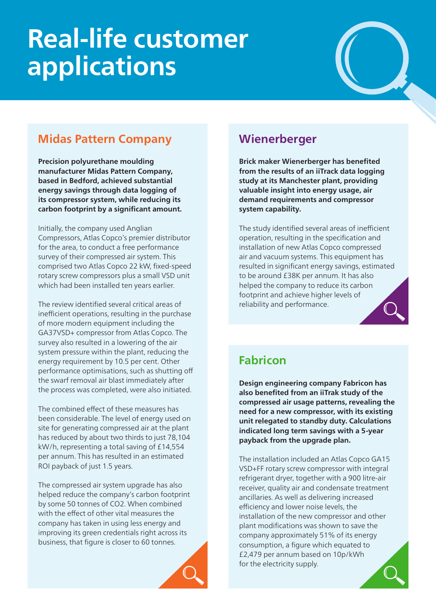# **Real-life customer applications**

### **Midas Pattern Company**

**Precision polyurethane moulding manufacturer Midas Pattern Company, based in Bedford, achieved substantial energy savings through data logging of its compressor system, while reducing its carbon footprint by a significant amount.**

Initially, the company used Anglian Compressors, Atlas Copco's premier distributor for the area, to conduct a free performance survey of their compressed air system. This comprised two Atlas Copco 22 kW, fixed-speed rotary screw compressors plus a small VSD unit which had been installed ten years earlier.

The review identified several critical areas of inefficient operations, resulting in the purchase of more modern equipment including the GA37VSD+ compressor from Atlas Copco. The survey also resulted in a lowering of the air system pressure within the plant, reducing the energy requirement by 10.5 per cent. Other performance optimisations, such as shutting off the swarf removal air blast immediately after the process was completed, were also initiated.

The combined effect of these measures has been considerable. The level of energy used on site for generating compressed air at the plant has reduced by about two thirds to just 78,104 kW/h, representing a total saving of £14,554 per annum. This has resulted in an estimated ROI payback of just 1.5 years.

The compressed air system upgrade has also helped reduce the company's carbon footprint by some 50 tonnes of CO2. When combined with the effect of other vital measures the company has taken in using less energy and improving its green credentials right across its business, that figure is closer to 60 tonnes.

### **Wienerberger**

**Brick maker Wienerberger has benefited from the results of an iiTrack data logging study at its Manchester plant, providing valuable insight into energy usage, air demand requirements and compressor system capability.** 

The study identified several areas of inefficient operation, resulting in the specification and installation of new Atlas Copco compressed air and vacuum systems. This equipment has resulted in significant energy savings, estimated to be around £38K per annum. It has also helped the company to reduce its carbon footprint and achieve higher levels of reliability and performance.

### **Fabricon**

**Design engineering company Fabricon has also benefited from an iiTrak study of the compressed air usage patterns, revealing the need for a new compressor, with its existing unit relegated to standby duty. Calculations indicated long term savings with a 5-year payback from the upgrade plan.**

The installation included an Atlas Copco GA15 VSD+FF rotary screw compressor with integral refrigerant dryer, together with a 900 litre-air receiver, quality air and condensate treatment ancillaries. As well as delivering increased efficiency and lower noise levels, the installation of the new compressor and other plant modifications was shown to save the company approximately 51% of its energy consumption, a figure which equated to £2,479 per annum based on 10p/kWh for the electricity supply.